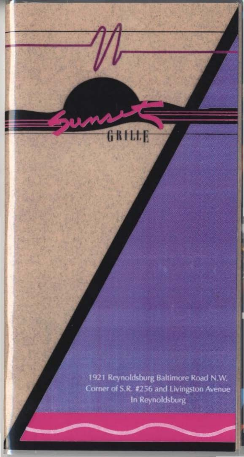1921 Reynoldsburg Baltimore Road N.W. Corner of S.R. #256 and Livingston Avenue In Reynoldsburg

 $G$ RILI

F.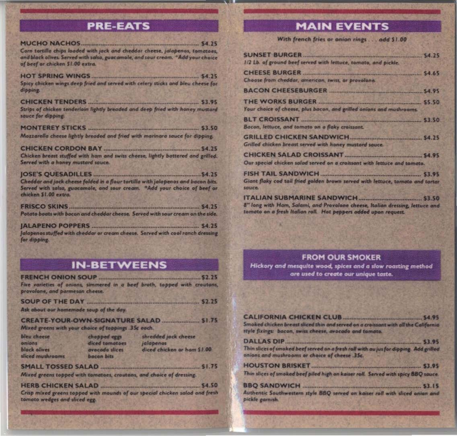# **PRE-EATS**

**MUCHO NACHOS MUCHO NACHO NACHO NACHO NACHO NACHO NACHO NACHO NACHO NACHO NACHO NACHO NACHO NACHO NACHO NACHO NACHO NACHO NACHO NACHO NACHO NACHO NACHO NACHO NACHO NACHO NACHO NACHO NACHO NACHO NACHO NACHO NACHO NACHO NA** Corn tortilla chips loaded with jack and cheddar cheese, jalapenos, tomatoes, and black olives. Served with salsa, guacamole, and sour cream. "Add your choice of beef or chicken \$1.00 extra.

Spicy chicken wings deep fried and served with celery sticks and bleu cheese for dipping.

Strips of chicken tenderioin lightly breaded and deep fried with honey mustard sauce for dipping.

Mozzarella cheese lightly breaded and fried with marinara sauce for dipping.

Chicken breast stuffed with ham and swiss cheese, lightly battered and grilled. Served with a honey mustard sauce.

Cheddar and jack cheese folded in a flour tortillo with jalopenos and bacon bits. Served with salsa, guacamole, and sour cream. "Add your choice of beef or chicken \$1.00 extra.

Potato boats with bacon and cheddar cheese. Served with sour cream on the side.

Jalapenos stuffed with cheddar or cream cheese. Served with cool ranch dressing for dipping.

## **IN-BETWEENS**

Five varieties of onions, simmered in a beef broth, topped with croutons, provolone, and parmesan cheese. 

Ask about our homemade soup of the day.

CREATE-YOUR-OWN-SIGNATURE SALAD Mixed greens with your choice of toppings .35c each.

| bleu cheese     | chopped eggs   | shredded jack cheese         |
|-----------------|----------------|------------------------------|
| <b>2001BO</b>   | diced tomatoes | jalapenas                    |
| black olives    | avocado slices | diced chicken or ham \$1.00. |
| diced mushrooms | bacon bits     |                              |

Mixed greens topped with tomatoes, croutons, and choice of dressing.

HERB CHICKEN SALAD SALAD SASSES AND SALAD Crisp mixed greens topped with mounds of our special chicken salad and fresh tomato wedges and sliced egg.

## **MAIN EVENTS**

With french fries or onion rings . . . add \$1.00

| 1/2 Lb. of ground beef served with lettuce, tomato, and pickle.                          |  |
|------------------------------------------------------------------------------------------|--|
|                                                                                          |  |
| Choose from cheddar, american, swiss, or provolone.                                      |  |
|                                                                                          |  |
| THE WORKS BURGER <b>MANUFACTURE 1999</b> SS.50                                           |  |
| Your choice of cheese, plus bacon, and grilled onions and mushrooms.                     |  |
|                                                                                          |  |
| Bacon, lettuce, and tomato on a flaky craissant.                                         |  |
|                                                                                          |  |
| Grilled chicken breast served with honey mustard sauce.                                  |  |
|                                                                                          |  |
| Our special chicken salad served on a croissant with lettuce and tomata.                 |  |
| FISH TAIL SANDWICH                                                                       |  |
| Giant flaky cod tail fried golden brown served with lettuce, tomato and tartar<br>sauce. |  |
| ITALIAN SUBMARINE SANDWICH 53.50                                                         |  |
| 8" long with Ham, Salami, and Provolone cheese, Italian dressing, lettuce and            |  |

### **FROM OUR SMOKER**

tomato on a fresh Italian roll. Hot peppers added upon request.

Hickory and mesquite wood, spices and a slow roasting method are used to create our unique taste.

| Smoked chicken breast sliced thin and served on a croissant with all the California<br>style fixings: bacon, swiss cheese, avocado and tamato. |  |
|------------------------------------------------------------------------------------------------------------------------------------------------|--|
|                                                                                                                                                |  |
| Thin slices of smoked beef served on a fresh roll with au jus for dipping. Add grilled<br>onions and mushrooms or choice of cheese .35c.       |  |
|                                                                                                                                                |  |
| Thin slices of smoked beef piled high on kaiser roll. Served with spicy BBQ sauce.                                                             |  |
|                                                                                                                                                |  |
| Authentic Southwestern style BBQ served on kaiser roll with sliced onion and<br>pickle garnish.                                                |  |